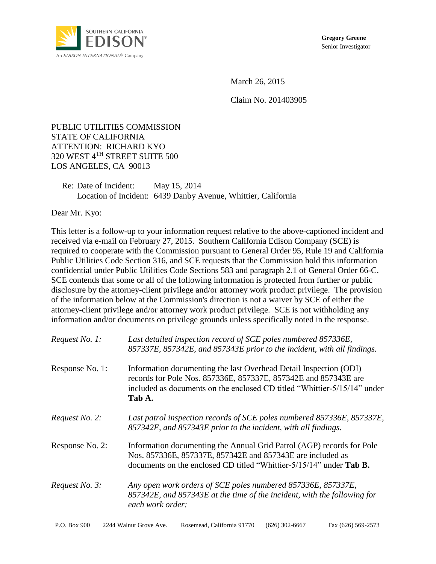

**Gregory Greene** Senior Investigator

March 26, 2015

Claim No. 201403905

PUBLIC UTILITIES COMMISSION STATE OF CALIFORNIA ATTENTION: RICHARD KYO 320 WEST 4TH STREET SUITE 500 LOS ANGELES, CA 90013

Re: Date of Incident: May 15, 2014 Location of Incident: 6439 Danby Avenue, Whittier, California

Dear Mr. Kyo:

This letter is a follow-up to your information request relative to the above-captioned incident and received via e-mail on February 27, 2015. Southern California Edison Company (SCE) is required to cooperate with the Commission pursuant to General Order 95, Rule 19 and California Public Utilities Code Section 316, and SCE requests that the Commission hold this information confidential under Public Utilities Code Sections 583 and paragraph 2.1 of General Order 66-C. SCE contends that some or all of the following information is protected from further or public disclosure by the attorney-client privilege and/or attorney work product privilege. The provision of the information below at the Commission's direction is not a waiver by SCE of either the attorney-client privilege and/or attorney work product privilege. SCE is not withholding any information and/or documents on privilege grounds unless specifically noted in the response.

| Request No. 1:  | Last detailed inspection record of SCE poles numbered 857336E,<br>857337E, 857342E, and 857343E prior to the incident, with all findings.                                                                                  |  |
|-----------------|----------------------------------------------------------------------------------------------------------------------------------------------------------------------------------------------------------------------------|--|
| Response No. 1: | Information documenting the last Overhead Detail Inspection (ODI)<br>records for Pole Nos. 857336E, 857337E, 857342E and 857343E are<br>included as documents on the enclosed CD titled "Whittier-5/15/14" under<br>Tab A. |  |
| Request No. 2:  | Last patrol inspection records of SCE poles numbered 857336E, 857337E,<br>857342E, and 857343E prior to the incident, with all findings.                                                                                   |  |
| Response No. 2: | Information documenting the Annual Grid Patrol (AGP) records for Pole<br>Nos. 857336E, 857337E, 857342E and 857343E are included as<br>documents on the enclosed CD titled "Whittier-5/15/14" under <b>Tab B.</b>          |  |
| Request No. 3:  | Any open work orders of SCE poles numbered 857336E, 857337E,<br>857342E, and 857343E at the time of the incident, with the following for<br>each work order:                                                               |  |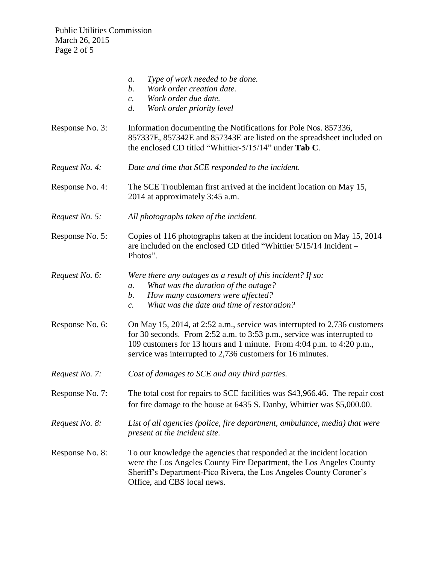Public Utilities Commission March 26, 2015 Page 2 of 5

- *a. Type of work needed to be done.*
- *b. Work order creation date.*
- *c. Work order due date.*
- *d. Work order priority level*
- Response No. 3: Information documenting the Notifications for Pole Nos. 857336, 857337E, 857342E and 857343E are listed on the spreadsheet included on the enclosed CD titled "Whittier-5/15/14" under **Tab C**.
- *Request No. 4: Date and time that SCE responded to the incident.*
- Response No. 4: The SCE Troubleman first arrived at the incident location on May 15, 2014 at approximately 3:45 a.m.
- *Request No. 5: All photographs taken of the incident.*
- Response No. 5: Copies of 116 photographs taken at the incident location on May 15, 2014 are included on the enclosed CD titled "Whittier 5/15/14 Incident – Photos".
- *Request No. 6: Were there any outages as a result of this incident? If so:*
	- *a. What was the duration of the outage?*
	- *b. How many customers were affected?*
	- *c. What was the date and time of restoration?*
- Response No. 6: On May 15, 2014, at 2:52 a.m., service was interrupted to 2,736 customers for 30 seconds. From 2:52 a.m. to 3:53 p.m., service was interrupted to 109 customers for 13 hours and 1 minute. From 4:04 p.m. to 4:20 p.m., service was interrupted to 2,736 customers for 16 minutes.
- *Request No. 7: Cost of damages to SCE and any third parties.*
- Response No. 7: The total cost for repairs to SCE facilities was \$43,966.46. The repair cost for fire damage to the house at 6435 S. Danby, Whittier was \$5,000.00.
- *Request No. 8: List of all agencies (police, fire department, ambulance, media) that were present at the incident site.*
- Response No. 8: To our knowledge the agencies that responded at the incident location were the Los Angeles County Fire Department, the Los Angeles County Sheriff's Department-Pico Rivera, the Los Angeles County Coroner's Office, and CBS local news.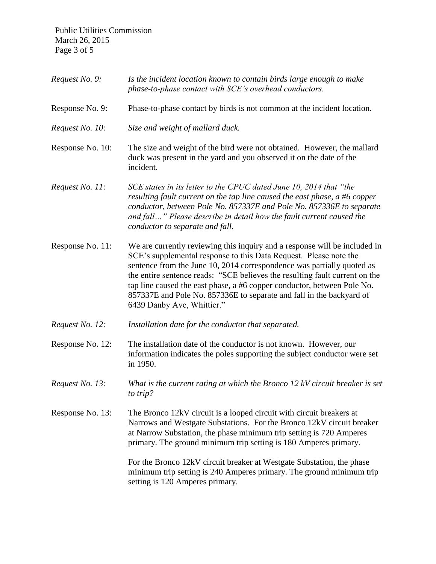Public Utilities Commission March 26, 2015 Page 3 of 5

| Request No. 9:   | Is the incident location known to contain birds large enough to make<br>phase-to-phase contact with SCE's overhead conductors.                                                                                                                                                                                                                                                                                                                                                            |  |  |
|------------------|-------------------------------------------------------------------------------------------------------------------------------------------------------------------------------------------------------------------------------------------------------------------------------------------------------------------------------------------------------------------------------------------------------------------------------------------------------------------------------------------|--|--|
| Response No. 9:  | Phase-to-phase contact by birds is not common at the incident location.                                                                                                                                                                                                                                                                                                                                                                                                                   |  |  |
| Request No. 10:  | Size and weight of mallard duck.                                                                                                                                                                                                                                                                                                                                                                                                                                                          |  |  |
| Response No. 10: | The size and weight of the bird were not obtained. However, the mallard<br>duck was present in the yard and you observed it on the date of the<br>incident.                                                                                                                                                                                                                                                                                                                               |  |  |
| Request No. 11:  | SCE states in its letter to the CPUC dated June 10, 2014 that "the<br>resulting fault current on the tap line caused the east phase, $a \#6$ copper<br>conductor, between Pole No. 857337E and Pole No. 857336E to separate<br>and fall" Please describe in detail how the fault current caused the<br>conductor to separate and fall.                                                                                                                                                    |  |  |
| Response No. 11: | We are currently reviewing this inquiry and a response will be included in<br>SCE's supplemental response to this Data Request. Please note the<br>sentence from the June 10, 2014 correspondence was partially quoted as<br>the entire sentence reads: "SCE believes the resulting fault current on the<br>tap line caused the east phase, a #6 copper conductor, between Pole No.<br>857337E and Pole No. 857336E to separate and fall in the backyard of<br>6439 Danby Ave, Whittier." |  |  |
| Request No. 12:  | Installation date for the conductor that separated.                                                                                                                                                                                                                                                                                                                                                                                                                                       |  |  |
| Response No. 12: | The installation date of the conductor is not known. However, our<br>information indicates the poles supporting the subject conductor were set<br>in 1950.                                                                                                                                                                                                                                                                                                                                |  |  |
| Request No. 13:  | What is the current rating at which the Bronco 12 kV circuit breaker is set<br>to trip?                                                                                                                                                                                                                                                                                                                                                                                                   |  |  |
| Response No. 13: | The Bronco 12kV circuit is a looped circuit with circuit breakers at<br>Narrows and Westgate Substations. For the Bronco 12kV circuit breaker<br>at Narrow Substation, the phase minimum trip setting is 720 Amperes<br>primary. The ground minimum trip setting is 180 Amperes primary.                                                                                                                                                                                                  |  |  |
|                  | For the Bronco 12kV circuit breaker at Westgate Substation, the phase<br>minimum trip setting is 240 Amperes primary. The ground minimum trip<br>setting is 120 Amperes primary.                                                                                                                                                                                                                                                                                                          |  |  |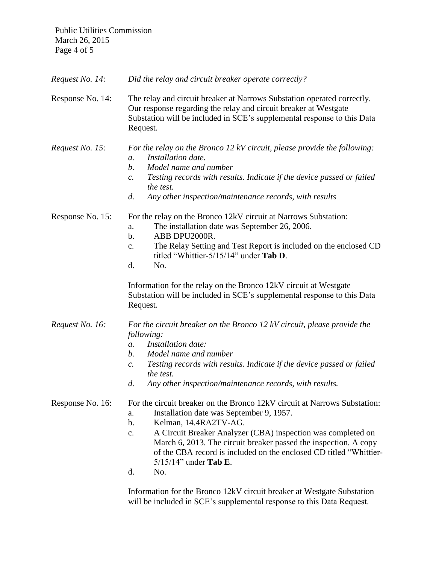Public Utilities Commission March 26, 2015 Page 4 of 5

*Request No. 14: Did the relay and circuit breaker operate correctly?*

Response No. 14: The relay and circuit breaker at Narrows Substation operated correctly. Our response regarding the relay and circuit breaker at Westgate Substation will be included in SCE's supplemental response to this Data Request.

*Request No. 15: For the relay on the Bronco 12 kV circuit, please provide the following: a. Installation date.*

- *b. Model name and number*
- *c. Testing records with results. Indicate if the device passed or failed the test.*
- *d. Any other inspection/maintenance records, with results*

Response No. 15: For the relay on the Bronco 12kV circuit at Narrows Substation:

- a. The installation date was September 26, 2006.
- b. ABB DPU2000R.
- c. The Relay Setting and Test Report is included on the enclosed CD titled "Whittier-5/15/14" under **Tab D**.
- d. No.

Information for the relay on the Bronco 12kV circuit at Westgate Substation will be included in SCE's supplemental response to this Data Request.

*Request No. 16: For the circuit breaker on the Bronco 12 kV circuit, please provide the following:*

- *a. Installation date:*
- *b. Model name and number*
- *c. Testing records with results. Indicate if the device passed or failed the test.*
- *d. Any other inspection/maintenance records, with results.*

Response No. 16: For the circuit breaker on the Bronco 12kV circuit at Narrows Substation:

- a. Installation date was September 9, 1957.
- b. Kelman, 14.4RA2TV-AG.
- c. A Circuit Breaker Analyzer (CBA) inspection was completed on March 6, 2013. The circuit breaker passed the inspection. A copy of the CBA record is included on the enclosed CD titled "Whittier-5/15/14" under **Tab E**.
- d. No.

Information for the Bronco 12kV circuit breaker at Westgate Substation will be included in SCE's supplemental response to this Data Request.